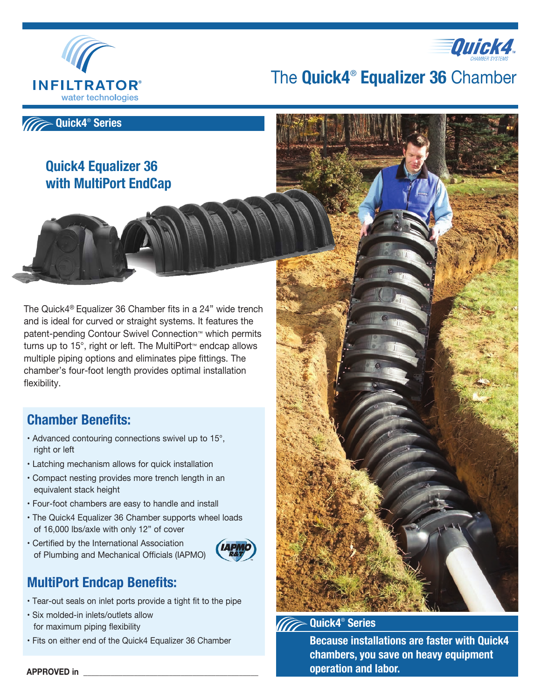



The **Quick4**®  **Equalizer 36** Chamber



## **Quick4 Equalizer 36 with MultiPort EndCap**

The Quick4® Equalizer 36 Chamber fits in a 24" wide trench and is ideal for curved or straight systems. It features the patent-pending Contour Swivel Connection™ which permits turns up to 15°, right or left. The MultiPort™ endcap allows multiple piping options and eliminates pipe fittings. The chamber's four-foot length provides optimal installation flexibility.

# **Chamber Benefits:**

- Advanced contouring connections swivel up to 15°, right or left
- Latching mechanism allows for quick installation
- Compact nesting provides more trench length in an equivalent stack height
- Four-foot chambers are easy to handle and install
- The Quick4 Equalizer 36 Chamber supports wheel loads of 16,000 lbs/axle with only 12" of cover
- Certified by the International Association of Plumbing and Mechanical Officials (IAPMO)



### **MultiPort Endcap Benefits:**

- Tear-out seals on inlet ports provide a tight fit to the pipe
- Six molded-in inlets/outlets allow for maximum piping flexibility
- Fits on either end of the Quick4 Equalizer 36 Chamber



**Quick4**®  **Series** 

**Because installations are faster with Quick4 chambers, you save on heavy equipment operation and labor.**

**APPROVED in \_\_\_\_\_\_\_\_\_\_\_\_\_\_\_\_\_\_\_\_\_\_\_\_\_\_\_\_\_\_\_\_\_\_\_\_\_\_\_\_\_\_\_\_\_**